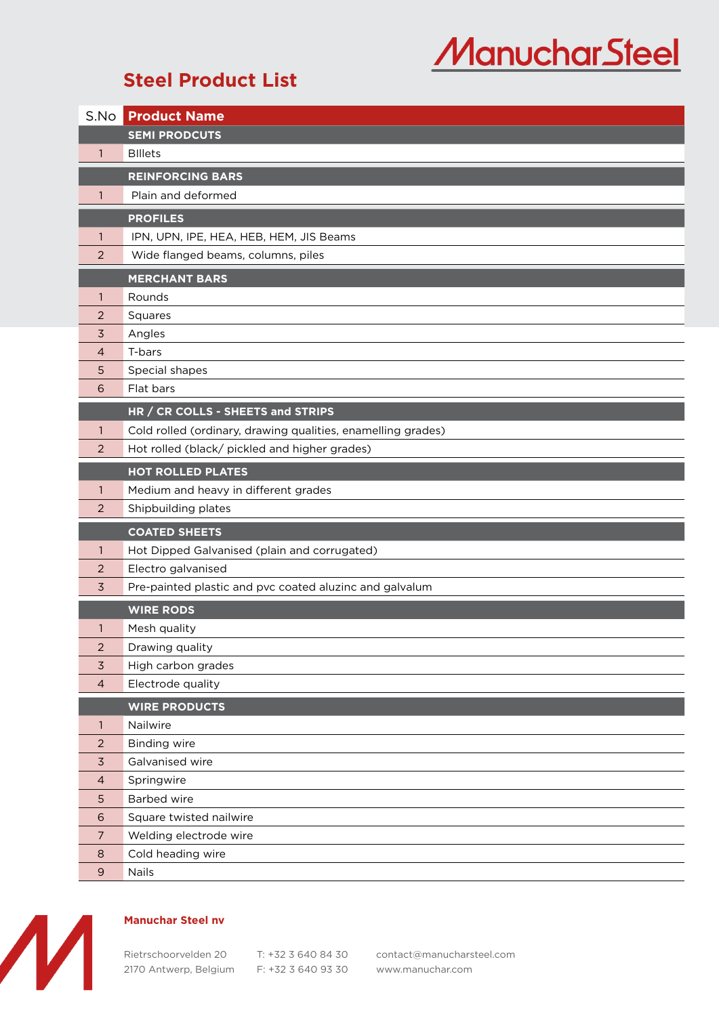## **ManucharSteel**

## **Steel Product List**

| S.No           | <b>Product Name</b>                                          |
|----------------|--------------------------------------------------------------|
|                | <b>SEMI PRODCUTS</b>                                         |
| $\mathbf{1}$   | <b>Billets</b>                                               |
|                | <b>REINFORCING BARS</b>                                      |
| 1              | Plain and deformed                                           |
|                | <b>PROFILES</b>                                              |
| 1              | IPN, UPN, IPE, HEA, HEB, HEM, JIS Beams                      |
| 2              | Wide flanged beams, columns, piles                           |
|                | <b>MERCHANT BARS</b>                                         |
| 1              | Rounds                                                       |
| 2              | Squares                                                      |
| 3              | Angles                                                       |
| 4              | T-bars                                                       |
| 5              | Special shapes                                               |
| 6              | Flat bars                                                    |
|                | HR / CR COLLS - SHEETS and STRIPS                            |
| 1              | Cold rolled (ordinary, drawing qualities, enamelling grades) |
| 2              | Hot rolled (black/ pickled and higher grades)                |
|                | <b>HOT ROLLED PLATES</b>                                     |
| 1              | Medium and heavy in different grades                         |
| $\overline{2}$ | Shipbuilding plates                                          |
|                | <b>COATED SHEETS</b>                                         |
| $\mathbf{1}$   | Hot Dipped Galvanised (plain and corrugated)                 |
| 2              | Electro galvanised                                           |
| 3              | Pre-painted plastic and pvc coated aluzinc and galvalum      |
|                | <b>WIRE RODS</b>                                             |
| 1              | Mesh quality                                                 |
| $\overline{c}$ | Drawing quality                                              |
| 3              | High carbon grades                                           |
| $\overline{a}$ | Electrode quality                                            |
|                | <b>WIRE PRODUCTS</b>                                         |
| $\mathbf{1}$   | Nailwire                                                     |
| 2              | <b>Binding wire</b>                                          |
| $\overline{3}$ | Galvanised wire                                              |
| $\overline{4}$ | Springwire                                                   |
| 5              | Barbed wire                                                  |
| 6              | Square twisted nailwire                                      |
| $\overline{7}$ | Welding electrode wire                                       |
| 8              | Cold heading wire                                            |
| $\overline{9}$ | Nails                                                        |



## **Manuchar Steel nv**

2170 Antwerp, Belgium F: +32 3 640 93 30 [www.manuchar.com](https://manuchar.com/products-and-business-units/steel/)